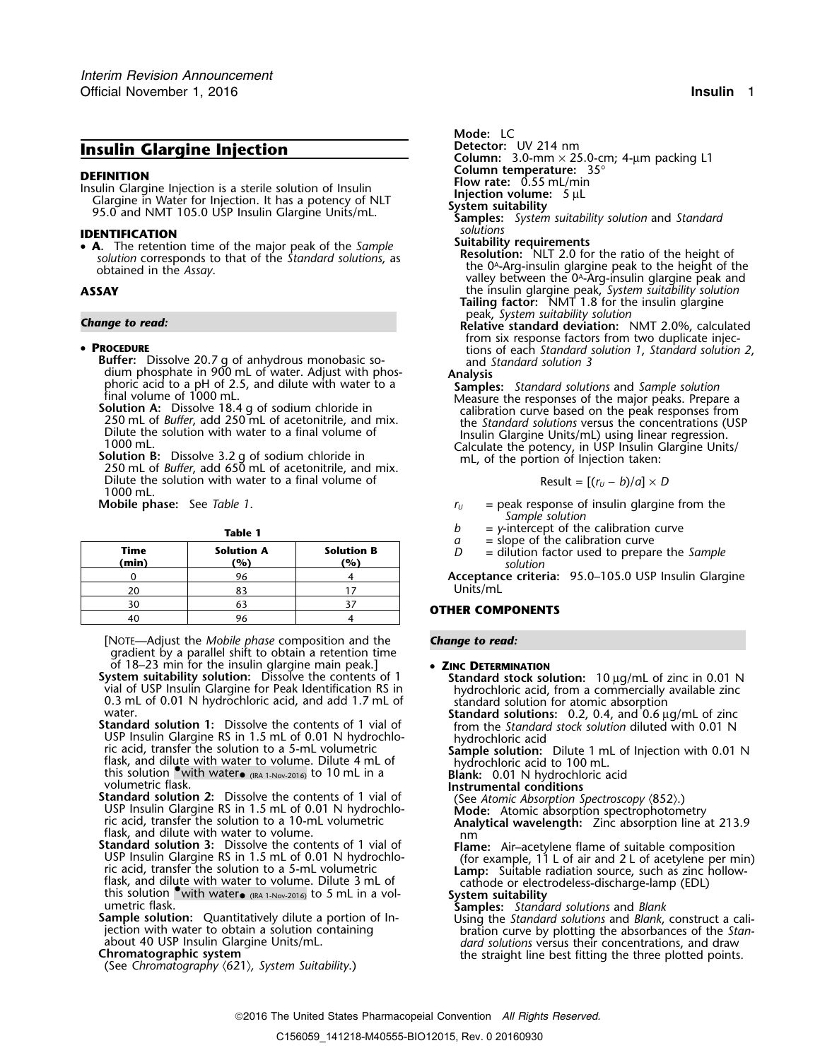# **Insulin Glargine Injection**

### • PROCEDURE

- dium phosphate in 900 mL of water. Adjust with phos- **Analysis**
- 
- Dilute the solution with water to a final volume of 1000 mL.
- 

| Time<br>(min) | <b>Solution A</b><br>(%) | <b>Solution B</b><br>(%) |
|---------------|--------------------------|--------------------------|
|               |                          |                          |
|               |                          |                          |
|               |                          |                          |
|               |                          |                          |

[NOTE—Adjust the *Mobile phase* composition and the *Change to read:* gradient by a parallel shift to obtain a retention time

- of 18–23 min for the insulin glargine main peak.] **ZINC DETERMINATION** System suitability solution: Dissolve the contents of 1<br>
vial of USP Insulin Glargine for Peak Identification RS in<br>
0.3 mL of 0.01 N hydrochloric acid, and add 1.7 mL of<br>
standard solution for atomic absorption<br>
xater.<br>
- USP Insulin Glargine RS in 1.5 mL of 0.01 N hydrochlo-<br>
ric acid, transfer the solution to a 5-mL volumetric **Sample solution:** Dilute 1 mL of Injection with 0.01 N<br>
flask, and dilute with water to volume. Dilute 4 mL of (IRA 1-Nov-2016) to 10 mL in a **Blank:** 0.01 N hydrochloric acid volumetric flask. **Instrumental conditions**
- volumetric flask.<br> **Standard solution 2:** Dissolve the contents of 1 vial of (See Atomic Absorption Spectroscopy (852).)<br>
USP Insulin Glargine RS in 1.5 mL of 0.01 N hydrochlo-<br>
ric acid, transfer the solution to a 10-mL v
- **Standard solution 3:** Dissolve the contents of 1 vial of<br>USP Insulin Glargine RS in 1.5 mL of 0.01 N hydrochlo-<br>ric acid, transfer the solution to a 5-mL volumetric<br>flask, and dilute with water to volume. Dilute 3 mL of<br> (IRA 1-Nov-2016) to 5 mL in a vol- **System suitability** umetric flask. **Samples:** *Standard solutions* and *Blank*
- Sample solution: Quantitatively dilute a portion of In-<br>jection with water to obtain a solution containing<br>about 40 USP Insulin Glargine Units/mL.<br>about 40 USP Insulin Glargine Units/mL.<br>about 40 USP Insulin Glargine Units

Mode: LC<br>Detector: UV 214 nm **Column:** 3.0-mm × 25.0-cm; 4-µm packing L1 **DEFINITION**<br>
Insulin Glargine Injection is a sterile solution of Insulin<br>
Clargine in Water for Injection. It has a potency of NLT<br>
PS.0 and NMT 105.0 USP Insulin Glargine Units/mL.<br> **INENTIELCATION**<br> **INENTIELCATION**<br> **I IDENTIFICATION**<br>• **A**. The retention time of the major peak of the Sample **Suitability requirements**<br>solution corresponds to that of the Standard solutions as **Resolution:** NLT 2.0 for the ratio of the height of • **A.** The retention time of the major peak of the *Sample*<br>solution corresponds to that of the *Standard solutions*, as<br>obtained in the *Assay*.<br>obtained in the *Assay*.<br>alley between the 0<sup>4</sup>-Arg-insulin glargine peak t **ASSAY** the insulin glargine peak, *System suitability solution* **Tailing factor:** NMT 1.8 for the insulin glargine peak, *System suitability solution Change to read:* **Relative standard deviation:** NMT 2.0%, calculated

from six response factors from two duplicate injections of each Standard solution 1, Standard solution 2, **<sup>P</sup>ROCEDURE** tions of each *Standard solution 1*, *Standard solution 2*, **Buffer:** Dissolve 20.7 g of anhydrous monobasic so- and *Standard solution 3*

dium phosphate in 900 mL of water. Adjust with phosphate<br>
sphoric acid to a pH of 2.5, and dilute with water to a<br>
solution A: Dissolve 18.4 g of sodium chloride in<br>
250 mL of *Buffer*, add 250 mL of acetonitrile, and mix.

$$
Result = [(r_U - b)/a] \times D
$$

- **Mobile phase:** See *Table 1*. *<sup>r</sup><sup>U</sup>* = peak response of insulin glargine from the *Sample solution*
	- **Table 1**<br> **b** = y-intercept of the calibration curve<br>  $a$  = slope of the calibration curve
		-
		- *<sup>a</sup>* = slope of the calibration curve **Time Solution A Solution B** *<sup>D</sup>* = dilution factor used to prepare the *Sample* **(min) (%) (%)** *solution*
		- <sup>0</sup> <sup>96</sup> <sup>4</sup> **Acceptance criteria:** 95.0–105.0 USP Insulin Glargine Units/mL

## **OTHER COMPONENTS**

- 
- 
- 
- 
- Chromatographic system suitability.) the straight line best fitting the three plotted points.<br>(See Chromatography (621), System Suitability.)